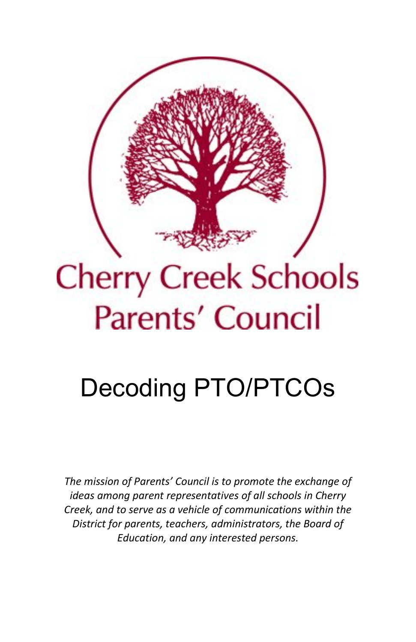

# **Cherry Creek Schools Parents' Council**

## Decoding PTO/PTCOs

*The mission of Parents' Council is to promote the exchange of ideas among parent representatives of all schools in Cherry Creek, and to serve as a vehicle of communications within the District for parents, teachers, administrators, the Board of Education, and any interested persons.*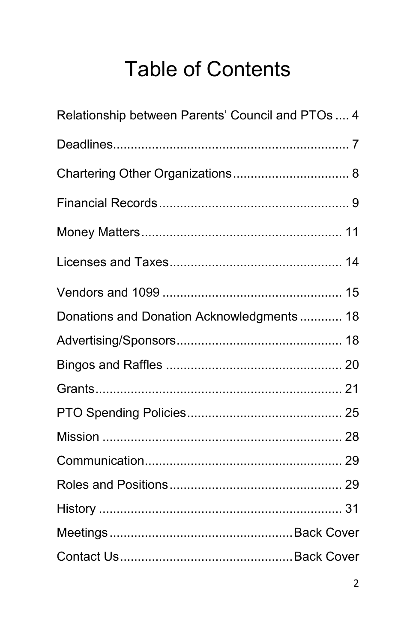## **Table of Contents**

| Relationship between Parents' Council and PTOs  4 |  |
|---------------------------------------------------|--|
|                                                   |  |
|                                                   |  |
|                                                   |  |
|                                                   |  |
|                                                   |  |
|                                                   |  |
| Donations and Donation Acknowledgments 18         |  |
|                                                   |  |
|                                                   |  |
|                                                   |  |
|                                                   |  |
|                                                   |  |
|                                                   |  |
|                                                   |  |
|                                                   |  |
|                                                   |  |
|                                                   |  |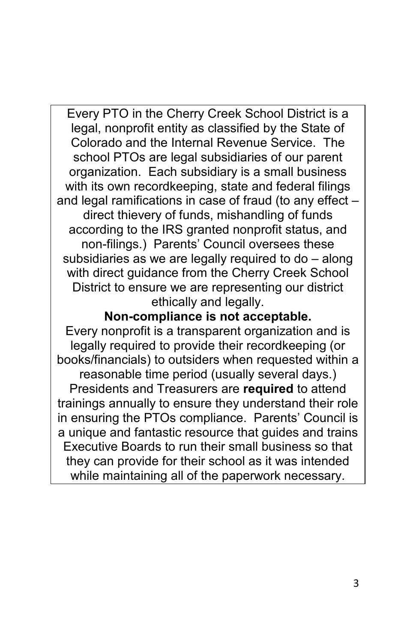Every PTO in the Cherry Creek School District is a legal, nonprofit entity as classified by the State of Colorado and the Internal Revenue Service. The school PTOs are legal subsidiaries of our parent organization. Each subsidiary is a small business with its own recordkeeping, state and federal filings and legal ramifications in case of fraud (to any effect – direct thievery of funds, mishandling of funds according to the IRS granted nonprofit status, and non-filings.) Parents' Council oversees these subsidiaries as we are legally required to do – along with direct guidance from the Cherry Creek School District to ensure we are representing our district ethically and legally.

#### **Non-compliance is not acceptable.**

Every nonprofit is a transparent organization and is legally required to provide their recordkeeping (or books/financials) to outsiders when requested within a reasonable time period (usually several days.) Presidents and Treasurers are **required** to attend trainings annually to ensure they understand their role in ensuring the PTOs compliance. Parents' Council is a unique and fantastic resource that guides and trains Executive Boards to run their small business so that they can provide for their school as it was intended while maintaining all of the paperwork necessary.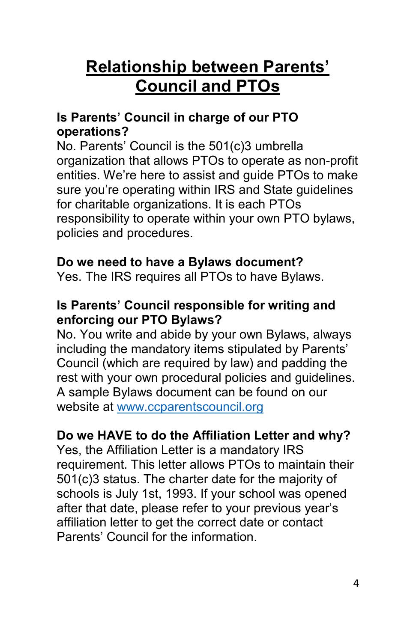## **Relationship between Parents' Council and PTOs**

#### **Is Parents' Council in charge of our PTO operations?**

No. Parents' Council is the 501(c)3 umbrella organization that allows PTOs to operate as non-profit entities. We're here to assist and guide PTOs to make sure you're operating within IRS and State guidelines for charitable organizations. It is each PTOs responsibility to operate within your own PTO bylaws, policies and procedures.

#### **Do we need to have a Bylaws document?**

Yes. The IRS requires all PTOs to have Bylaws.

#### **Is Parents' Council responsible for writing and enforcing our PTO Bylaws?**

No. You write and abide by your own Bylaws, always including the mandatory items stipulated by Parents' Council (which are required by law) and padding the rest with your own procedural policies and guidelines. A sample Bylaws document can be found on our website at [www.ccparentscouncil.org](http://www.ccparentscouncil.org/)

#### **Do we HAVE to do the Affiliation Letter and why?**

Yes, the Affiliation Letter is a mandatory IRS requirement. This letter allows PTOs to maintain their 501(c)3 status. The charter date for the majority of schools is July 1st, 1993. If your school was opened after that date, please refer to your previous year's affiliation letter to get the correct date or contact Parents' Council for the information.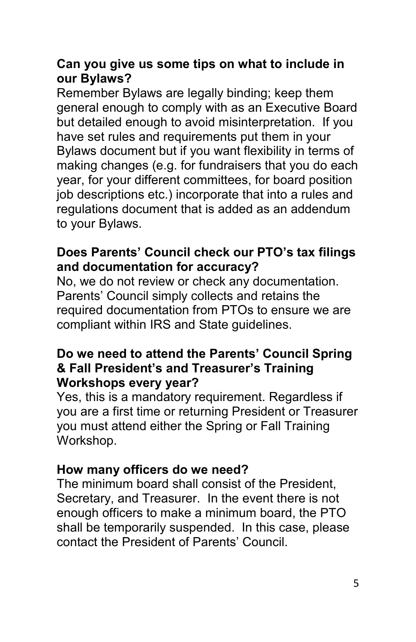#### **Can you give us some tips on what to include in our Bylaws?**

Remember Bylaws are legally binding; keep them general enough to comply with as an Executive Board but detailed enough to avoid misinterpretation. If you have set rules and requirements put them in your Bylaws document but if you want flexibility in terms of making changes (e.g. for fundraisers that you do each year, for your different committees, for board position job descriptions etc.) incorporate that into a rules and regulations document that is added as an addendum to your Bylaws.

#### **Does Parents' Council check our PTO's tax filings and documentation for accuracy?**

No, we do not review or check any documentation. Parents' Council simply collects and retains the required documentation from PTOs to ensure we are compliant within IRS and State guidelines.

#### **Do we need to attend the Parents' Council Spring & Fall President's and Treasurer's Training Workshops every year?**

Yes, this is a mandatory requirement. Regardless if you are a first time or returning President or Treasurer you must attend either the Spring or Fall Training Workshop.

#### **How many officers do we need?**

The minimum board shall consist of the President, Secretary, and Treasurer. In the event there is not enough officers to make a minimum board, the PTO shall be temporarily suspended. In this case, please contact the President of Parents' Council.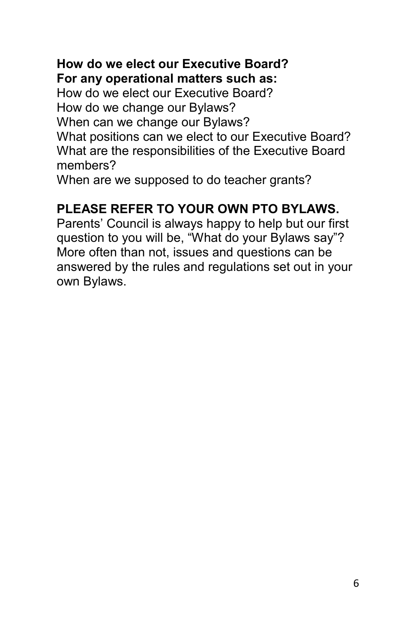#### **How do we elect our Executive Board? For any operational matters such as:**

How do we elect our Executive Board? How do we change our Bylaws? When can we change our Bylaws? What positions can we elect to our Executive Board? What are the responsibilities of the Executive Board members?

When are we supposed to do teacher grants?

#### **PLEASE REFER TO YOUR OWN PTO BYLAWS.**

Parents' Council is always happy to help but our first question to you will be, "What do your Bylaws say"? More often than not, issues and questions can be answered by the rules and regulations set out in your own Bylaws.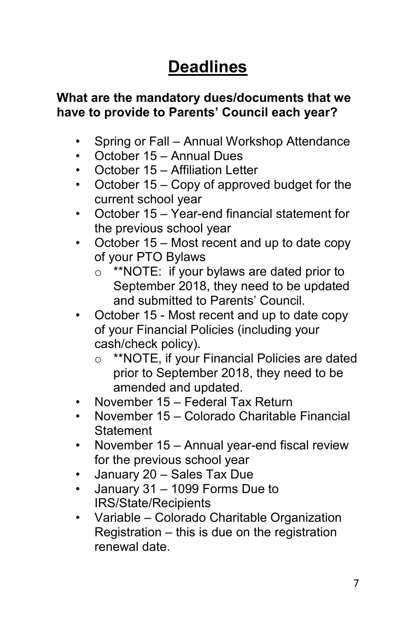## **Deadlines**

#### **What are the mandatory dues/documents that we have to provide to Parents' Council each year?**

- Spring or Fall Annual Workshop Attendance
- October 15 Annual Dues
- October 15 Affiliation Letter
- October 15 Copy of approved budget for the current school year
- October 15 Year-end financial statement for the previous school year
- October 15 Most recent and up to date copy of your PTO Bylaws
	- o \*\*NOTE: if your bylaws are dated prior to September 2018, they need to be updated and submitted to Parents' Council.
- October 15 Most recent and up to date copy of your Financial Policies (including your cash/check policy).
	- o \*\*NOTE, if your Financial Policies are dated prior to September 2018, they need to be amended and updated.
- November 15 Federal Tax Return
- November 15 Colorado Charitable Financial **Statement**
- November 15 Annual year-end fiscal review for the previous school year
- January 20 Sales Tax Due
- January 31 1099 Forms Due to IRS/State/Recipients
- Variable Colorado Charitable Organization Registration – this is due on the registration renewal date.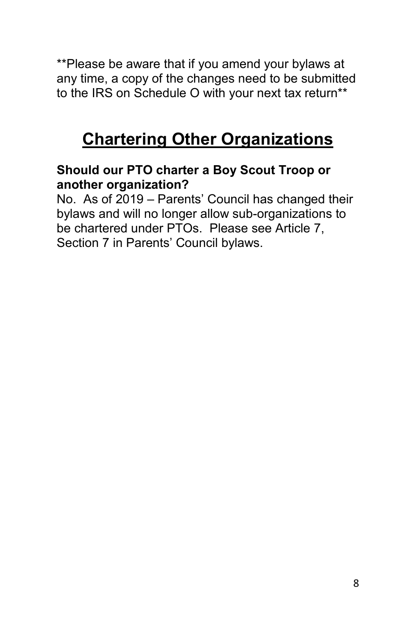\*\*Please be aware that if you amend your bylaws at any time, a copy of the changes need to be submitted to the IRS on Schedule O with your next tax return\*\*

## **Chartering Other Organizations**

#### **Should our PTO charter a Boy Scout Troop or another organization?**

No. As of 2019 – Parents' Council has changed their bylaws and will no longer allow sub-organizations to be chartered under PTOs. Please see Article 7, Section 7 in Parents' Council bylaws.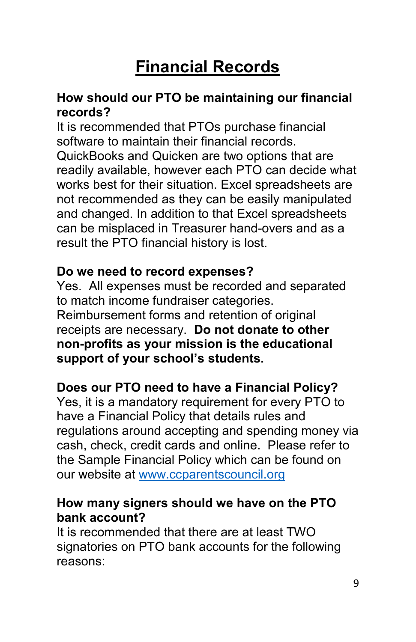## **Financial Records**

#### **How should our PTO be maintaining our financial records?**

It is recommended that PTOs purchase financial software to maintain their financial records. QuickBooks and Quicken are two options that are readily available, however each PTO can decide what works best for their situation. Excel spreadsheets are not recommended as they can be easily manipulated and changed. In addition to that Excel spreadsheets can be misplaced in Treasurer hand-overs and as a result the PTO financial history is lost.

#### **Do we need to record expenses?**

Yes. All expenses must be recorded and separated to match income fundraiser categories. Reimbursement forms and retention of original receipts are necessary. **Do not donate to other non-profits as your mission is the educational support of your school's students.** 

#### **Does our PTO need to have a Financial Policy?**

Yes, it is a mandatory requirement for every PTO to have a Financial Policy that details rules and regulations around accepting and spending money via cash, check, credit cards and online. Please refer to the Sample Financial Policy which can be found on our website at [www.ccparentscouncil.org](http://www.ccparentscouncil.org/)

#### **How many signers should we have on the PTO bank account?**

It is recommended that there are at least TWO signatories on PTO bank accounts for the following reasons: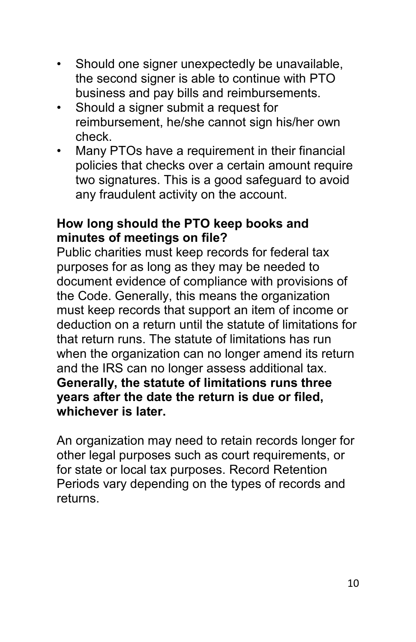- Should one signer unexpectedly be unavailable, the second signer is able to continue with PTO business and pay bills and reimbursements.
- Should a signer submit a request for reimbursement, he/she cannot sign his/her own check.
- Many PTOs have a requirement in their financial policies that checks over a certain amount require two signatures. This is a good safeguard to avoid any fraudulent activity on the account.

#### **How long should the PTO keep books and minutes of meetings on file?**

Public charities must keep records for federal tax purposes for as long as they may be needed to document evidence of compliance with provisions of the Code. Generally, this means the organization must keep records that support an item of income or deduction on a return until the statute of limitations for that return runs. The statute of limitations has run when the organization can no longer amend its return and the IRS can no longer assess additional tax. **Generally, the statute of limitations runs three years after the date the return is due or filed, whichever is later.**

An organization may need to retain records longer for other legal purposes such as court requirements, or for state or local tax purposes. Record Retention Periods vary depending on the types of records and returns.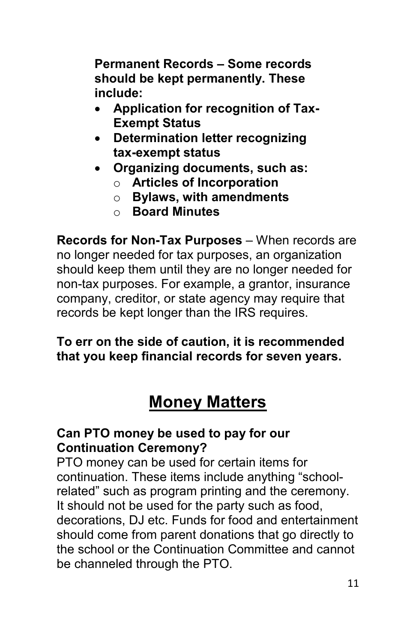**Permanent Records – Some records should be kept permanently. These include:**

- **Application for recognition of Tax-Exempt Status**
- **Determination letter recognizing tax-exempt status**
- **Organizing documents, such as:** o **Articles of Incorporation**
	- o **Bylaws, with amendments**
	- o **Board Minutes**

**Records for Non-Tax Purposes** – When records are no longer needed for tax purposes, an organization should keep them until they are no longer needed for non-tax purposes. For example, a grantor, insurance company, creditor, or state agency may require that records be kept longer than the IRS requires.

#### **To err on the side of caution, it is recommended that you keep financial records for seven years.**

## **Money Matters**

#### **Can PTO money be used to pay for our Continuation Ceremony?**

PTO money can be used for certain items for continuation. These items include anything "schoolrelated" such as program printing and the ceremony. It should not be used for the party such as food, decorations, DJ etc. Funds for food and entertainment should come from parent donations that go directly to the school or the Continuation Committee and cannot be channeled through the PTO.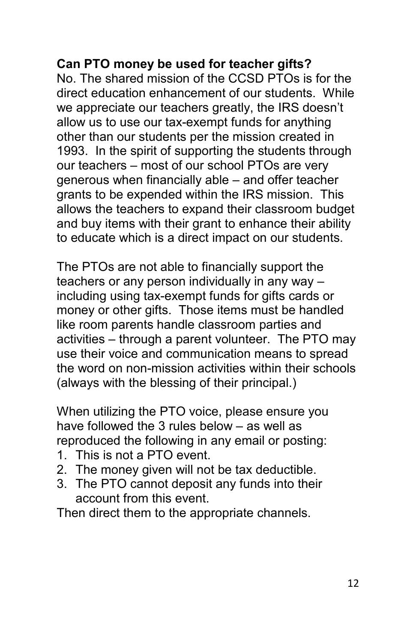#### **Can PTO money be used for teacher gifts?**

No. The shared mission of the CCSD PTOs is for the direct education enhancement of our students. While we appreciate our teachers greatly, the IRS doesn't allow us to use our tax-exempt funds for anything other than our students per the mission created in 1993. In the spirit of supporting the students through our teachers – most of our school PTOs are very generous when financially able – and offer teacher grants to be expended within the IRS mission. This allows the teachers to expand their classroom budget and buy items with their grant to enhance their ability to educate which is a direct impact on our students.

The PTOs are not able to financially support the teachers or any person individually in any way – including using tax-exempt funds for gifts cards or money or other gifts. Those items must be handled like room parents handle classroom parties and activities – through a parent volunteer. The PTO may use their voice and communication means to spread the word on non-mission activities within their schools (always with the blessing of their principal.)

When utilizing the PTO voice, please ensure you have followed the 3 rules below – as well as reproduced the following in any email or posting:

- 1. This is not a PTO event.
- 2. The money given will not be tax deductible.
- 3. The PTO cannot deposit any funds into their account from this event.

Then direct them to the appropriate channels.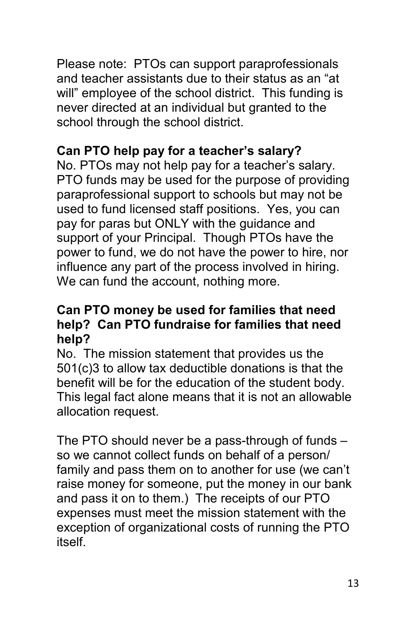Please note: PTOs can support paraprofessionals and teacher assistants due to their status as an "at will" employee of the school district. This funding is never directed at an individual but granted to the school through the school district.

#### **Can PTO help pay for a teacher's salary?**

No. PTOs may not help pay for a teacher's salary. PTO funds may be used for the purpose of providing paraprofessional support to schools but may not be used to fund licensed staff positions. Yes, you can pay for paras but ONLY with the guidance and support of your Principal. Though PTOs have the power to fund, we do not have the power to hire, nor influence any part of the process involved in hiring. We can fund the account, nothing more.

#### **Can PTO money be used for families that need help? Can PTO fundraise for families that need help?**

No. The mission statement that provides us the 501(c)3 to allow tax deductible donations is that the benefit will be for the education of the student body. This legal fact alone means that it is not an allowable allocation request.

The PTO should never be a pass-through of funds – so we cannot collect funds on behalf of a person/ family and pass them on to another for use (we can't raise money for someone, put the money in our bank and pass it on to them.) The receipts of our PTO expenses must meet the mission statement with the exception of organizational costs of running the PTO itself.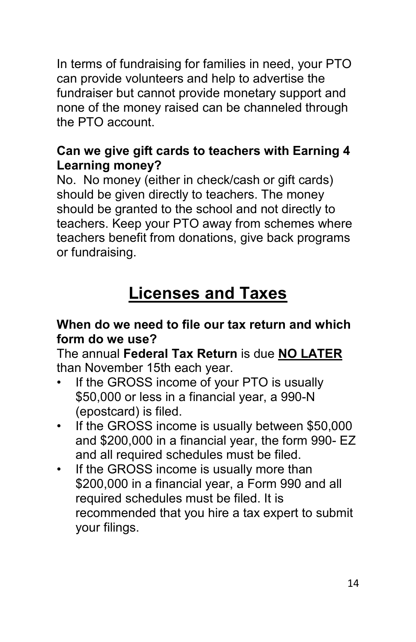In terms of fundraising for families in need, your PTO can provide volunteers and help to advertise the fundraiser but cannot provide monetary support and none of the money raised can be channeled through the PTO account.

#### **Can we give gift cards to teachers with Earning 4 Learning money?**

No. No money (either in check/cash or gift cards) should be given directly to teachers. The money should be granted to the school and not directly to teachers. Keep your PTO away from schemes where teachers benefit from donations, give back programs or fundraising.

## **Licenses and Taxes**

#### **When do we need to file our tax return and which form do we use?**

The annual **Federal Tax Return** is due **NO LATER** than November 15th each year.

- If the GROSS income of your PTO is usually \$50,000 or less in a financial year, a 990-N (epostcard) is filed.
- If the GROSS income is usually between \$50,000 and \$200,000 in a financial year, the form 990- EZ and all required schedules must be filed.
- If the GROSS income is usually more than \$200,000 in a financial year, a Form 990 and all required schedules must be filed. It is recommended that you hire a tax expert to submit your filings.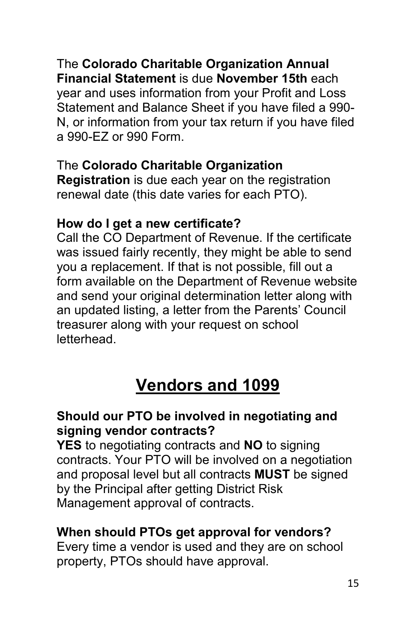The **Colorado Charitable Organization Annual Financial Statement** is due **November 15th** each year and uses information from your Profit and Loss Statement and Balance Sheet if you have filed a 990- N, or information from your tax return if you have filed a 990-EZ or 990 Form.

#### The **Colorado Charitable Organization**

**Registration** is due each year on the registration renewal date (this date varies for each PTO).

#### **How do I get a new certificate?**

Call the CO Department of Revenue. If the certificate was issued fairly recently, they might be able to send you a replacement. If that is not possible, fill out a form available on the Department of Revenue website and send your original determination letter along with an updated listing, a letter from the Parents' Council treasurer along with your request on school **letterhead** 

## **Vendors and 1099**

#### **Should our PTO be involved in negotiating and signing vendor contracts?**

**YES** to negotiating contracts and **NO** to signing contracts. Your PTO will be involved on a negotiation and proposal level but all contracts **MUST** be signed by the Principal after getting District Risk Management approval of contracts.

#### **When should PTOs get approval for vendors?**

Every time a vendor is used and they are on school property, PTOs should have approval.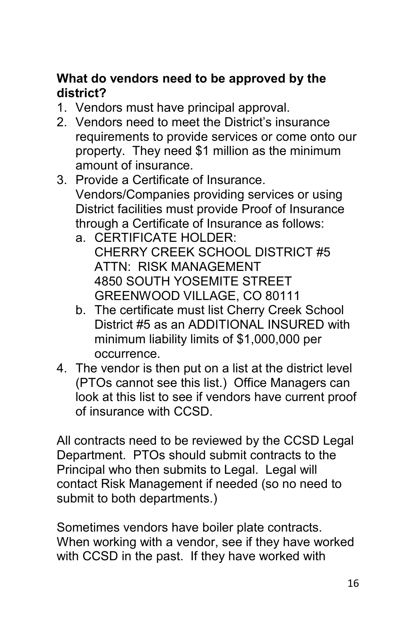#### **What do vendors need to be approved by the district?**

- 1. Vendors must have principal approval.
- 2. Vendors need to meet the District's insurance requirements to provide services or come onto our property. They need \$1 million as the minimum amount of insurance.
- 3. Provide a Certificate of Insurance. Vendors/Companies providing services or using District facilities must provide Proof of Insurance through a Certificate of Insurance as follows:
	- a. CERTIFICATE HOLDER: CHERRY CREEK SCHOOL DISTRICT #5 ATTN: RISK MANAGEMENT 4850 SOUTH YOSEMITE STREET GREENWOOD VILLAGE, CO 80111
	- b. The certificate must list Cherry Creek School District #5 as an ADDITIONAL INSURED with minimum liability limits of \$1,000,000 per occurrence.
- 4. The vendor is then put on a list at the district level (PTOs cannot see this list.) Office Managers can look at this list to see if vendors have current proof of insurance with CCSD.

All contracts need to be reviewed by the CCSD Legal Department. PTOs should submit contracts to the Principal who then submits to Legal. Legal will contact Risk Management if needed (so no need to submit to both departments.)

Sometimes vendors have boiler plate contracts. When working with a vendor, see if they have worked with CCSD in the past. If they have worked with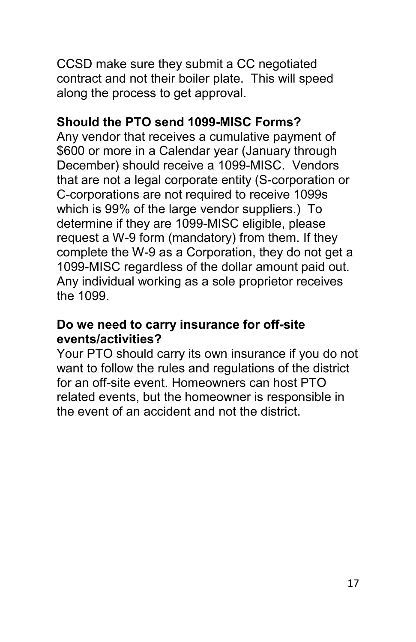CCSD make sure they submit a CC negotiated contract and not their boiler plate. This will speed along the process to get approval.

#### **Should the PTO send 1099-MISC Forms?**

Any vendor that receives a cumulative payment of \$600 or more in a Calendar year (January through December) should receive a 1099-MISC. Vendors that are not a legal corporate entity (S-corporation or C-corporations are not required to receive 1099s which is 99% of the large vendor suppliers.) To determine if they are 1099-MISC eligible, please request a W-9 form (mandatory) from them. If they complete the W-9 as a Corporation, they do not get a 1099-MISC regardless of the dollar amount paid out. Any individual working as a sole proprietor receives the 1099.

#### **Do we need to carry insurance for off-site events/activities?**

Your PTO should carry its own insurance if you do not want to follow the rules and regulations of the district for an off-site event. Homeowners can host PTO related events, but the homeowner is responsible in the event of an accident and not the district.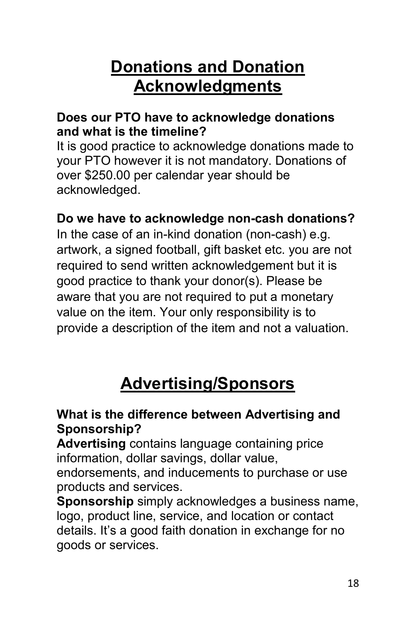## **Donations and Donation Acknowledgments**

#### **Does our PTO have to acknowledge donations and what is the timeline?**

It is good practice to acknowledge donations made to your PTO however it is not mandatory. Donations of over \$250.00 per calendar year should be acknowledged.

#### **Do we have to acknowledge non-cash donations?**

In the case of an in-kind donation (non-cash) e.g. artwork, a signed football, gift basket etc. you are not required to send written acknowledgement but it is good practice to thank your donor(s). Please be aware that you are not required to put a monetary value on the item. Your only responsibility is to provide a description of the item and not a valuation.

## **Advertising/Sponsors**

#### **What is the difference between Advertising and Sponsorship?**

**Advertising** contains language containing price information, dollar savings, dollar value, endorsements, and inducements to purchase or use products and services.

**Sponsorship** simply acknowledges a business name, logo, product line, service, and location or contact details. It's a good faith donation in exchange for no goods or services.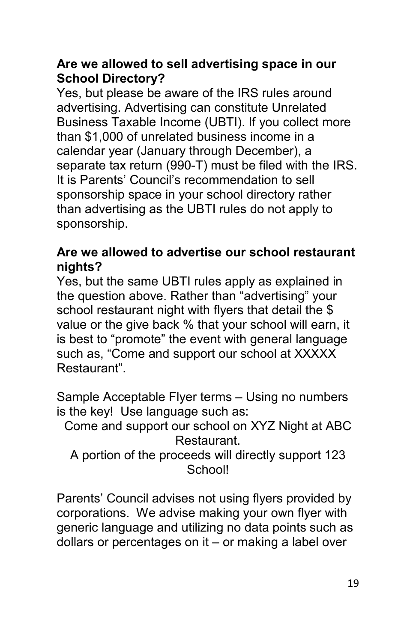#### **Are we allowed to sell advertising space in our School Directory?**

Yes, but please be aware of the IRS rules around advertising. Advertising can constitute Unrelated Business Taxable Income (UBTI). If you collect more than \$1,000 of unrelated business income in a calendar year (January through December), a separate tax return (990-T) must be filed with the IRS. It is Parents' Council's recommendation to sell sponsorship space in your school directory rather than advertising as the UBTI rules do not apply to sponsorship.

#### **Are we allowed to advertise our school restaurant nights?**

Yes, but the same UBTI rules apply as explained in the question above. Rather than "advertising" your school restaurant night with flyers that detail the \$ value or the give back % that your school will earn, it is best to "promote" the event with general language such as, "Come and support our school at XXXXX Restaurant".

Sample Acceptable Flyer terms – Using no numbers is the key! Use language such as:

Come and support our school on XYZ Night at ABC Restaurant.

A portion of the proceeds will directly support 123 School!

Parents' Council advises not using flyers provided by corporations. We advise making your own flyer with generic language and utilizing no data points such as dollars or percentages on it – or making a label over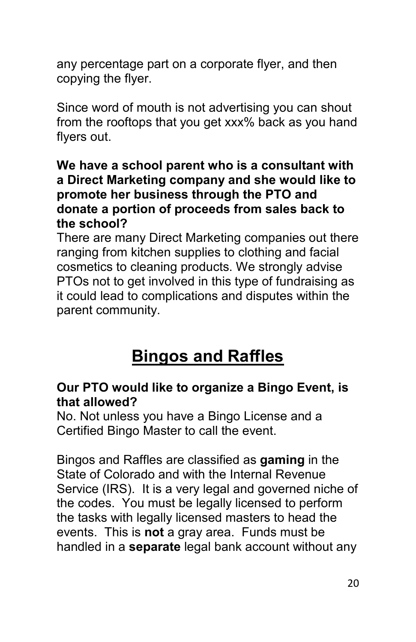any percentage part on a corporate flyer, and then copying the flyer.

Since word of mouth is not advertising you can shout from the rooftops that you get xxx% back as you hand flyers out.

#### **We have a school parent who is a consultant with a Direct Marketing company and she would like to promote her business through the PTO and donate a portion of proceeds from sales back to the school?**

There are many Direct Marketing companies out there ranging from kitchen supplies to clothing and facial cosmetics to cleaning products. We strongly advise PTOs not to get involved in this type of fundraising as it could lead to complications and disputes within the parent community.

## **Bingos and Raffles**

#### **Our PTO would like to organize a Bingo Event, is that allowed?**

No. Not unless you have a Bingo License and a Certified Bingo Master to call the event.

Bingos and Raffles are classified as **gaming** in the State of Colorado and with the Internal Revenue Service (IRS). It is a very legal and governed niche of the codes. You must be legally licensed to perform the tasks with legally licensed masters to head the events. This is **not** a gray area. Funds must be handled in a **separate** legal bank account without any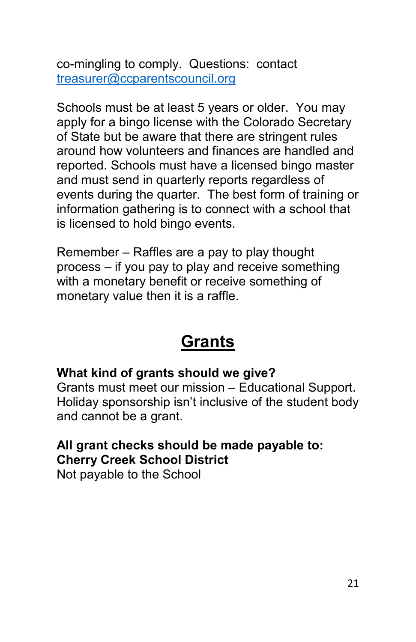co-mingling to comply. Questions: contact [treasurer@ccparentscouncil.org](mailto:treasurer@ccparentscouncil.org)

Schools must be at least 5 years or older. You may apply for a bingo license with the Colorado Secretary of State but be aware that there are stringent rules around how volunteers and finances are handled and reported. Schools must have a licensed bingo master and must send in quarterly reports regardless of events during the quarter. The best form of training or information gathering is to connect with a school that is licensed to hold bingo events.

Remember – Raffles are a pay to play thought process – if you pay to play and receive something with a monetary benefit or receive something of monetary value then it is a raffle.

### **Grants**

#### **What kind of grants should we give?**

Grants must meet our mission – Educational Support. Holiday sponsorship isn't inclusive of the student body and cannot be a grant.

#### **All grant checks should be made payable to: Cherry Creek School District**

Not payable to the School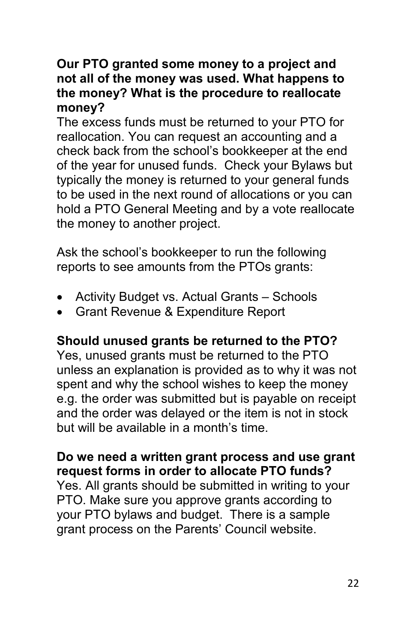#### **Our PTO granted some money to a project and not all of the money was used. What happens to the money? What is the procedure to reallocate money?**

The excess funds must be returned to your PTO for reallocation. You can request an accounting and a check back from the school's bookkeeper at the end of the year for unused funds. Check your Bylaws but typically the money is returned to your general funds to be used in the next round of allocations or you can hold a PTO General Meeting and by a vote reallocate the money to another project.

Ask the school's bookkeeper to run the following reports to see amounts from the PTOs grants:

- Activity Budget vs. Actual Grants Schools
- Grant Revenue & Expenditure Report

#### **Should unused grants be returned to the PTO?**

Yes, unused grants must be returned to the PTO unless an explanation is provided as to why it was not spent and why the school wishes to keep the money e.g. the order was submitted but is payable on receipt and the order was delayed or the item is not in stock but will be available in a month's time.

#### **Do we need a written grant process and use grant request forms in order to allocate PTO funds?**

Yes. All grants should be submitted in writing to your PTO. Make sure you approve grants according to your PTO bylaws and budget. There is a sample grant process on the Parents' Council website.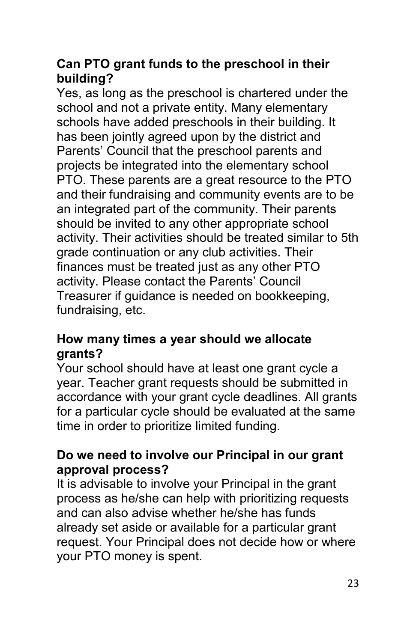#### **Can PTO grant funds to the preschool in their building?**

Yes, as long as the preschool is chartered under the school and not a private entity. Many elementary schools have added preschools in their building. It has been jointly agreed upon by the district and Parents' Council that the preschool parents and projects be integrated into the elementary school PTO. These parents are a great resource to the PTO and their fundraising and community events are to be an integrated part of the community. Their parents should be invited to any other appropriate school activity. Their activities should be treated similar to 5th grade continuation or any club activities. Their finances must be treated just as any other PTO activity. Please contact the Parents' Council Treasurer if guidance is needed on bookkeeping, fundraising, etc.

#### **How many times a year should we allocate grants?**

Your school should have at least one grant cycle a year. Teacher grant requests should be submitted in accordance with your grant cycle deadlines. All grants for a particular cycle should be evaluated at the same time in order to prioritize limited funding.

#### **Do we need to involve our Principal in our grant approval process?**

It is advisable to involve your Principal in the grant process as he/she can help with prioritizing requests and can also advise whether he/she has funds already set aside or available for a particular grant request. Your Principal does not decide how or where your PTO money is spent.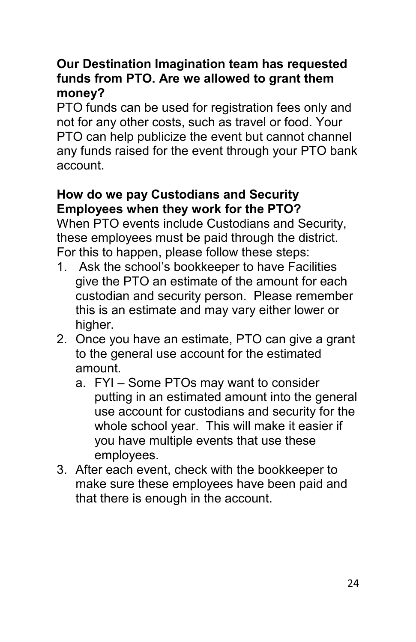#### **Our Destination Imagination team has requested funds from PTO. Are we allowed to grant them money?**

PTO funds can be used for registration fees only and not for any other costs, such as travel or food. Your PTO can help publicize the event but cannot channel any funds raised for the event through your PTO bank account.

#### **How do we pay Custodians and Security Employees when they work for the PTO?**

When PTO events include Custodians and Security, these employees must be paid through the district. For this to happen, please follow these steps:

- 1. Ask the school's bookkeeper to have Facilities give the PTO an estimate of the amount for each custodian and security person. Please remember this is an estimate and may vary either lower or higher.
- 2. Once you have an estimate, PTO can give a grant to the general use account for the estimated amount.
	- a. FYI Some PTOs may want to consider putting in an estimated amount into the general use account for custodians and security for the whole school year. This will make it easier if you have multiple events that use these employees.
- 3. After each event, check with the bookkeeper to make sure these employees have been paid and that there is enough in the account.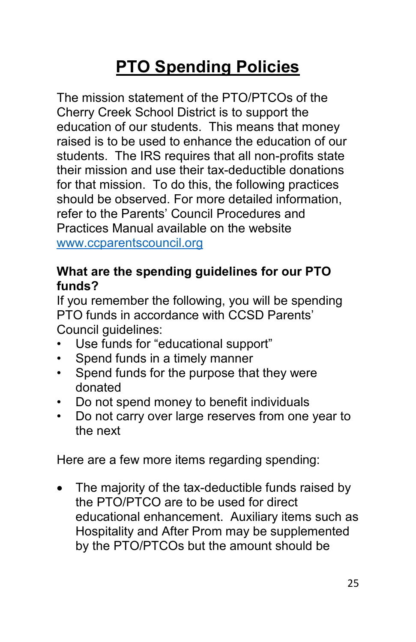## **PTO Spending Policies**

The mission statement of the PTO/PTCOs of the Cherry Creek School District is to support the education of our students. This means that money raised is to be used to enhance the education of our students. The IRS requires that all non-profits state their mission and use their tax-deductible donations for that mission. To do this, the following practices should be observed. For more detailed information, refer to the Parents' Council Procedures and Practices Manual available on the website [www.ccparentscouncil.org](http://www.ccparentscouncil.org/)

#### **What are the spending guidelines for our PTO funds?**

If you remember the following, you will be spending PTO funds in accordance with CCSD Parents' Council guidelines:

- Use funds for "educational support"
- Spend funds in a timely manner
- Spend funds for the purpose that they were donated
- Do not spend money to benefit individuals
- Do not carry over large reserves from one year to the next

Here are a few more items regarding spending:

• The majority of the tax-deductible funds raised by the PTO/PTCO are to be used for direct educational enhancement. Auxiliary items such as Hospitality and After Prom may be supplemented by the PTO/PTCOs but the amount should be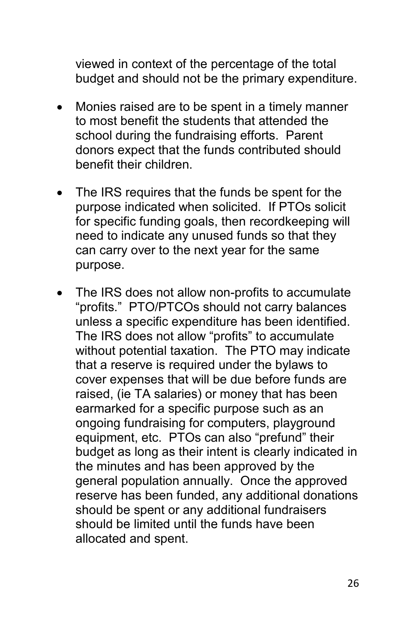viewed in context of the percentage of the total budget and should not be the primary expenditure.

- Monies raised are to be spent in a timely manner to most benefit the students that attended the school during the fundraising efforts. Parent donors expect that the funds contributed should benefit their children.
- The IRS requires that the funds be spent for the purpose indicated when solicited. If PTOs solicit for specific funding goals, then recordkeeping will need to indicate any unused funds so that they can carry over to the next year for the same purpose.
- The IRS does not allow non-profits to accumulate "profits." PTO/PTCOs should not carry balances unless a specific expenditure has been identified. The IRS does not allow "profits" to accumulate without potential taxation. The PTO may indicate that a reserve is required under the bylaws to cover expenses that will be due before funds are raised, (ie TA salaries) or money that has been earmarked for a specific purpose such as an ongoing fundraising for computers, playground equipment, etc. PTOs can also "prefund" their budget as long as their intent is clearly indicated in the minutes and has been approved by the general population annually. Once the approved reserve has been funded, any additional donations should be spent or any additional fundraisers should be limited until the funds have been allocated and spent.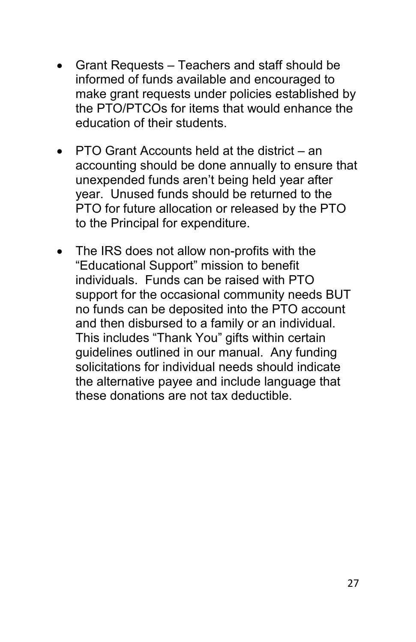- Grant Requests Teachers and staff should be informed of funds available and encouraged to make grant requests under policies established by the PTO/PTCOs for items that would enhance the education of their students.
- PTO Grant Accounts held at the district an accounting should be done annually to ensure that unexpended funds aren't being held year after year. Unused funds should be returned to the PTO for future allocation or released by the PTO to the Principal for expenditure.
- The IRS does not allow non-profits with the "Educational Support" mission to benefit individuals. Funds can be raised with PTO support for the occasional community needs BUT no funds can be deposited into the PTO account and then disbursed to a family or an individual. This includes "Thank You" gifts within certain guidelines outlined in our manual. Any funding solicitations for individual needs should indicate the alternative payee and include language that these donations are not tax deductible.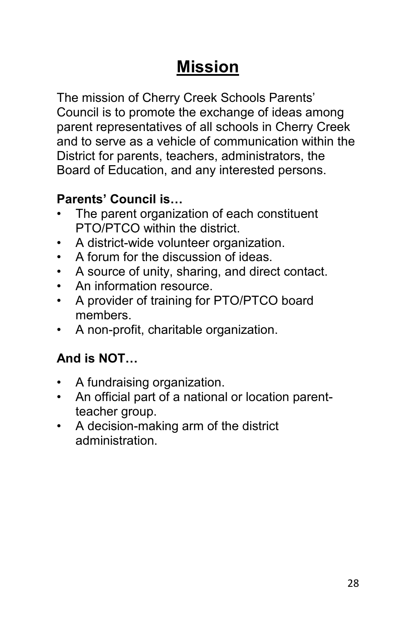## **Mission**

The mission of Cherry Creek Schools Parents' Council is to promote the exchange of ideas among parent representatives of all schools in Cherry Creek and to serve as a vehicle of communication within the District for parents, teachers, administrators, the Board of Education, and any interested persons.

#### **Parents' Council is…**

- The parent organization of each constituent PTO/PTCO within the district.
- A district-wide volunteer organization.
- A forum for the discussion of ideas.
- A source of unity, sharing, and direct contact.
- An information resource.
- A provider of training for PTO/PTCO board members.
- A non-profit, charitable organization.

### **And is NOT…**

- A fundraising organization.
- An official part of a national or location parentteacher group.
- A decision-making arm of the district administration.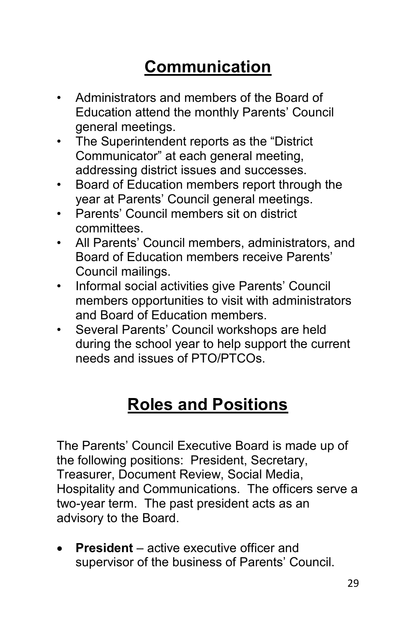## **Communication**

- Administrators and members of the Board of Education attend the monthly Parents' Council general meetings.
- The Superintendent reports as the "District Communicator" at each general meeting, addressing district issues and successes.
- Board of Education members report through the year at Parents' Council general meetings.
- Parents' Council members sit on district committees.
- All Parents' Council members, administrators, and Board of Education members receive Parents' Council mailings.
- Informal social activities give Parents' Council members opportunities to visit with administrators and Board of Education members.
- Several Parents' Council workshops are held during the school year to help support the current needs and issues of PTO/PTCOs.

## **Roles and Positions**

The Parents' Council Executive Board is made up of the following positions: President, Secretary, Treasurer, Document Review, Social Media, Hospitality and Communications. The officers serve a two-year term. The past president acts as an advisory to the Board.

• **President** – active executive officer and supervisor of the business of Parents' Council.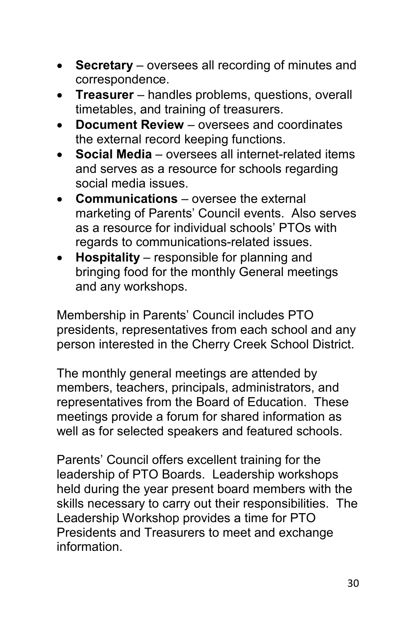- **Secretary** oversees all recording of minutes and correspondence.
- **Treasurer** handles problems, questions, overall timetables, and training of treasurers.
- **Document Review** oversees and coordinates the external record keeping functions.
- **Social Media** oversees all internet-related items and serves as a resource for schools regarding social media issues.
- **Communications** oversee the external marketing of Parents' Council events. Also serves as a resource for individual schools' PTOs with regards to communications-related issues.
- **Hospitality**  responsible for planning and bringing food for the monthly General meetings and any workshops.

Membership in Parents' Council includes PTO presidents, representatives from each school and any person interested in the Cherry Creek School District.

The monthly general meetings are attended by members, teachers, principals, administrators, and representatives from the Board of Education. These meetings provide a forum for shared information as well as for selected speakers and featured schools.

Parents' Council offers excellent training for the leadership of PTO Boards. Leadership workshops held during the year present board members with the skills necessary to carry out their responsibilities. The Leadership Workshop provides a time for PTO Presidents and Treasurers to meet and exchange information.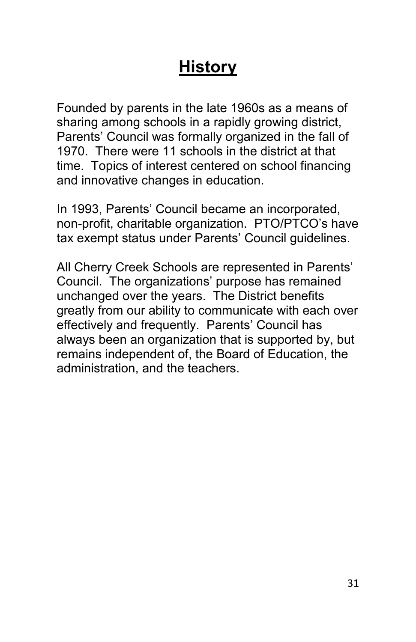## **History**

Founded by parents in the late 1960s as a means of sharing among schools in a rapidly growing district, Parents' Council was formally organized in the fall of 1970. There were 11 schools in the district at that time. Topics of interest centered on school financing and innovative changes in education.

In 1993, Parents' Council became an incorporated, non-profit, charitable organization. PTO/PTCO's have tax exempt status under Parents' Council guidelines.

All Cherry Creek Schools are represented in Parents' Council. The organizations' purpose has remained unchanged over the years. The District benefits greatly from our ability to communicate with each over effectively and frequently. Parents' Council has always been an organization that is supported by, but remains independent of, the Board of Education, the administration, and the teachers.